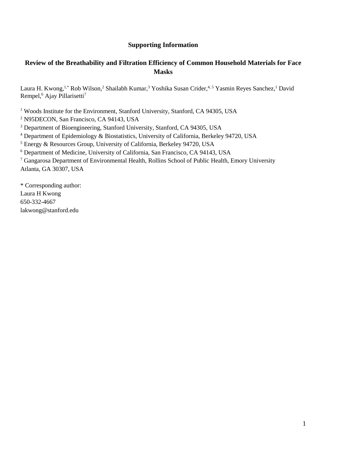#### **Supporting Information**

### **Review of the Breathability and Filtration Efficiency of Common Household Materials for Face Masks**

Laura H. Kwong,<sup>1,\*</sup> Rob Wilson,<sup>2</sup> Shailabh Kumar,<sup>3</sup> Yoshika Susan Crider,<sup>4,5</sup> Yasmin Reyes Sanchez,<sup>1</sup> David Rempel,<sup>6</sup> Ajay Pillarisetti<sup>7</sup>

<sup>1</sup> Woods Institute for the Environment, Stanford University, Stanford, CA 94305, USA

<sup>2</sup> [N95DECON,](https://www.n95decon.org/) San Francisco, CA 94143, USA

<sup>3</sup> Department of Bioengineering, Stanford University, Stanford, CA 94305, USA

<sup>4</sup> Department of Epidemiology & Biostatistics, University of California, Berkeley 94720, USA

<sup>5</sup> Energy & Resources Group, University of California, Berkeley 94720, USA

<sup>6</sup> Department of Medicine, University of California, San Francisco, CA 94143, USA

<sup>7</sup> Gangarosa Department of Environmental Health, Rollins School of Public Health, Emory University Atlanta, GA 30307, USA

\* Corresponding author: Laura H Kwong 650-332-4667 [lakwong@stanford.edu](mailto:lakwong@stanford.edu)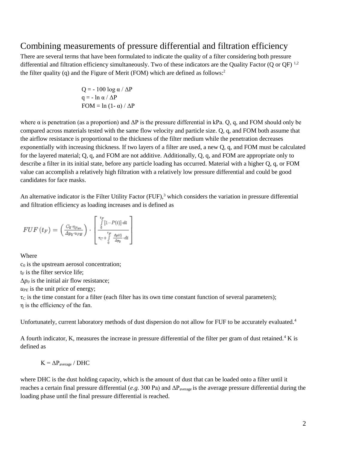### Combining measurements of pressure differential and filtration efficiency

There are several terms that have been formulated to indicate the quality of a filter considering both pressure differential and filtration efficiency simultaneously. Two of these indicators are the Quality Factor (Q or QF)  $^{1,2}$  $^{1,2}$  $^{1,2}$ the filter quality (q) and the Figure of Merit (FOM) which are defined as follows[:](https://paperpile.com/c/bwCGjl/h1JQY)<sup>2</sup>

> $Q = -100 \log \alpha / \Delta P$  $q = - \ln \alpha / \Delta P$  $FOM = ln (1 - \alpha) / \Delta P$

where  $\alpha$  is penetration (as a proportion) and  $\Delta P$  is the pressure differential in kPa. Q, q, and FOM should only be compared across materials tested with the same flow velocity and particle size. Q, q, and FOM both assume that the airflow resistance is proportional to the thickness of the filter medium while the penetration decreases exponentially with increasing thickness. If two layers of a filter are used, a new Q, q, and FOM must be calculated for the layered material; Q, q, and FOM are not additive. Additionally, Q, q, and FOM are appropriate only to describe a filter in its initial state, before any particle loading has occurred. Material with a higher Q, q, or FOM value can accomplish a relatively high filtration with a relatively low pressure differential and could be good candidates for face masks.

An alternative indicator is the Filter Utility Factor  $(FUF)$ [,](https://paperpile.com/c/bwCGjl/bHlhr)<sup>3</sup> which considers the variation in pressure differential and filtration efficiency as loading increases and is defined as

$$
FUF(t_F) = \left(\frac{C_0 \cdot \eta_{Fon}}{\Delta p_0 \cdot u_{PE}}\right) \cdot \begin{bmatrix} \frac{t_F}{\int\limits_0^t [1 - P(t)] \cdot dt} \\ \frac{t_F}{\tau_C + \int\limits_0^t \frac{\Delta p(t)}{\Delta p_0} \cdot dt} \end{bmatrix}
$$

Where

 $c<sub>0</sub>$  is the upstream aerosol concentration;  $t_F$  is the filter service life;  $\Delta p_0$  is the initial air flow resistance;  $u_{PE}$  is the unit price of energy;  $\tau_c$  is the time constant for a filter (each filter has its own time constant function of several parameters); η is the efficiency of the fan.

Unfortunately, current laboratory methods of dust dispersion do not allow for FUF to be accurately evaluated[.](https://paperpile.com/c/bwCGjl/d3jI1)<sup>4</sup>

A fourth indicator, K, measures the increase in pressure differential of the filter per gram of dust retained.<sup>[4](https://paperpile.com/c/bwCGjl/d3jI1)</sup> K is defined as

$$
K = \Delta P_{\text{average}} / \text{DHC}
$$

where DHC is the dust holding capacity, which is the amount of dust that can be loaded onto a filter until it reaches a certain final pressure differential (*e.g.* 300 Pa) and ΔPaverage is the average pressure differential during the loading phase until the final pressure differential is reached.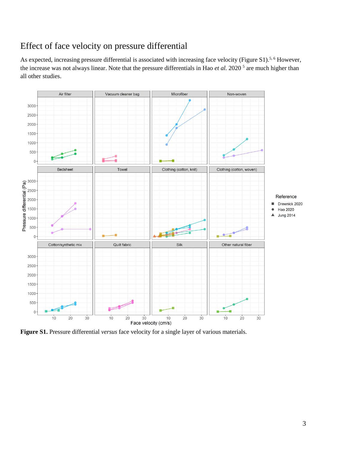# Effect of face velocity on pressure differential

As expected, increasing pressure differential is associated with increasing face velocity (Figure S1).<sup>[5,](https://paperpile.com/c/bwCGjl/3fXiv) [6](https://paperpile.com/c/bwCGjl/nIMnM)</sup> However, theincrease was not always linear. Note that the pressure differentials in Hao *et al.* 2020<sup>5</sup> are much higher than all other studies.



**Figure S1.** Pressure differential *versus* face velocity for a single layer of various materials.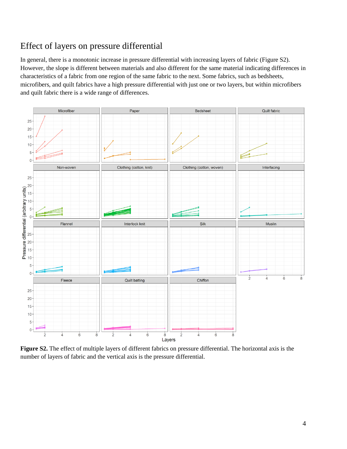# Effect of layers on pressure differential

In general, there is a monotonic increase in pressure differential with increasing layers of fabric (Figure S2). However, the slope is different between materials and also different for the same material indicating differences in characteristics of a fabric from one region of the same fabric to the next. Some fabrics, such as bedsheets, microfibers, and quilt fabrics have a high pressure differential with just one or two layers, but within microfibers and quilt fabric there is a wide range of differences.



**Figure S2.** The effect of multiple layers of different fabrics on pressure differential. The horizontal axis is the number of layers of fabric and the vertical axis is the pressure differential.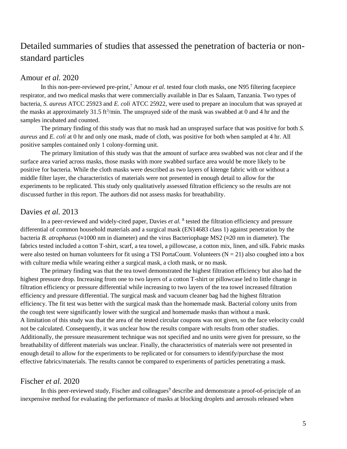## Detailed summaries of studies that assessed the penetration of bacteria or nonstandard particles

#### Amour *et al.* 2020

In this non-peer-reviewed pre-prin[t,](https://paperpile.com/c/bwCGjl/4K1UG)<sup>7</sup> Amour *et al.* tested four cloth masks, one N95 filtering facepiece respirator, and two medical masks that were commercially available in Dar es Salaam, Tanzania. Two types of bacteria, *S. aureus* ATCC 25923 and *E. coli* ATCC 25922, were used to prepare an inoculum that was sprayed at the masks at approximately 31.5 ft<sup>3</sup>/min. The unsprayed side of the mask was swabbed at 0 and 4 hr and the samples incubated and counted.

The primary finding of this study was that no mask had an unsprayed surface that was positive for both *S. aureus* and *E. coli* at 0 hr and only one mask, made of cloth, was positive for both when sampled at 4 hr. All positive samples contained only 1 colony-forming unit.

The primary limitation of this study was that the amount of surface area swabbed was not clear and if the surface area varied across masks, those masks with more swabbed surface area would be more likely to be positive for bacteria. While the cloth masks were described as two layers of kitenge fabric with or without a middle filter layer, the characteristics of materials were not presented in enough detail to allow for the experiments to be replicated. This study only qualitatively assessed filtration efficiency so the results are not discussed further in this report. The authors did not assess masks for breathability.

#### Davies *et al.* 2013

In a peer-reviewed and widely-cited paper, Davies *et al.* <sup>[8](https://paperpile.com/c/bwCGjl/yA6Dr)</sup> tested the filtration efficiency and pressure differential of common household materials and a surgical mask (EN14683 class 1) against penetration by the bacteria *B. atrophaeus* (**≈**1000 nm in diameter) and the virus Bacteriophage MS2 (**≈**20 nm in diameter). The fabrics tested included a cotton T-shirt, scarf, a tea towel, a pillowcase, a cotton mix, linen, and silk. Fabric masks were also tested on human volunteers for fit using a TSI PortaCount. Volunteers ( $N = 21$ ) also coughed into a box with culture media while wearing either a surgical mask, a cloth mask, or no mask.

The primary finding was that the tea towel demonstrated the highest filtration efficiency but also had the highest pressure drop. Increasing from one to two layers of a cotton T-shirt or pillowcase led to little change in filtration efficiency or pressure differential while increasing to two layers of the tea towel increased filtration efficiency and pressure differential. The surgical mask and vacuum cleaner bag had the highest filtration efficiency. The fit test was better with the surgical mask than the homemade mask. Bacterial colony units from the cough test were significantly lower with the surgical and homemade masks than without a mask. A limitation of this study was that the area of the tested circular coupons was not given, so the face velocity could not be calculated. Consequently, it was unclear how the results compare with results from other studies. Additionally, the pressure measurement technique was not specified and no units were given for pressure, so the breathability of different materials was unclear. Finally, the characteristics of materials were not presented in enough detail to allow for the experiments to be replicated or for consumers to identify/purchase the most effective fabrics/materials. The results cannot be compared to experiments of particles penetrating a mask.

#### Fischer *et al.* 2020

In thi[s](https://paperpile.com/c/bwCGjl/3q1KN) peer-reviewed study, Fischer and colleagues<sup>9</sup> describe and demonstrate a proof-of-principle of an inexpensive method for evaluating the performance of masks at blocking droplets and aerosols released when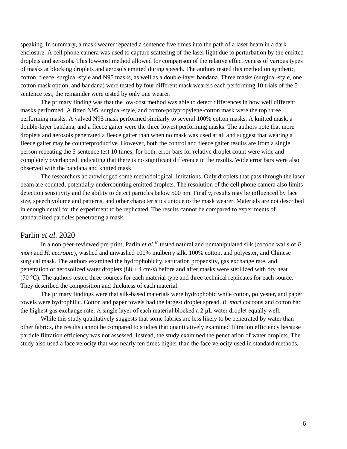speaking. In summary, a mask wearer repeated a sentence five times into the path of a laser beam in a dark enclosure. A cell phone camera was used to capture scattering of the laser light due to perturbation by the emitted droplets and aerosols. This low-cost method allowed for comparison of the relative effectiveness of various types of masks at blocking droplets and aerosols emitted during speech. The authors tested this method on synthetic, cotton, fleece, surgical-style and N95 masks, as well as a double-layer bandana. Three masks (surgical-style, one cotton mask option, and bandana) were tested by four different mask wearers each performing 10 trials of the 5 sentence test; the remainder were tested by only one wearer.

The primary finding was that the low-cost method was able to detect differences in how well different masks performed. A fitted N95, surgical-style, and cotton-polypropylene-cotton mask were the top three performing masks. A valved N95 mask performed similarly to several 100% cotton masks. A knitted mask, a double-layer bandana, and a fleece gaiter were the three lowest performing masks. The authors note that more droplets and aerosols penetrated a fleece gaiter than when no mask was used at all and suggest that wearing a fleece gaiter may be counterproductive. However, both the control and fleece gaiter results are from a single person repeating the 5-sentence test 10 times; for both, error bars for relative droplet count were wide and completely overlapped, indicating that there is no significant difference in the results. Wide error bars were also observed with the bandana and knitted mask.

The researchers acknowledged some methodological limitations. Only droplets that pass through the laser beam are counted, potentially undercounting emitted droplets. The resolution of the cell phone camera also limits detection sensitivity and the ability to detect particles below 500 nm. Finally, results may be influenced by face size, speech volume and patterns, and other characteristics unique to the mask wearer. Materials are not described in enough detail for the experiment to be replicated. The results cannot be compared to experiments of standardized particles penetrating a mask.

#### Parlin *et al.* 2020

In a non-peer-reviewed pre-print, Parlin *et al.[10](https://paperpile.com/c/bwCGjl/6cl6N)* tested natural and unmanipulated silk (cocoon walls of *B. mori* and *H. cecropia*), washed and unwashed 100% mulberry silk, 100% cotton, and polyester, and Chinese surgical mask. The authors examined the hydrophobicity, saturation propensity, gas exchange rate, and penetration of aerosolized water droplets ( $88 \pm 4$  cm/s) before and after masks were sterilized with dry heat (70 °C). The authors tested three sources for each material type and three technical replicates for each source. They described the composition and thickness of each material.

The primary findings were that silk-based materials were hydrophobic while cotton, polyester, and paper towels were hydrophilic. Cotton and paper towels had the largest droplet spread. *B. mori* cocoons and cotton had the highest gas exchange rate. A single layer of each material blocked a 2 μL water droplet equally well.

While this study qualitatively suggests that some fabrics are less likely to be penetrated by water than other fabrics, the results cannot be compared to studies that quantitatively examined filtration efficiency because particle filtration efficiency was not assessed. Instead, the study examined the penetration of water droplets. The study also used a face velocity that was nearly ten times higher than the face velocity used in standard methods.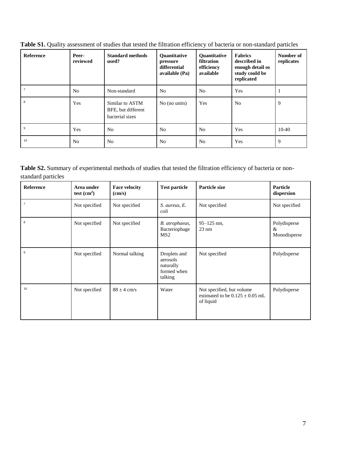| Reference      | Peer-<br>reviewed | <b>Standard methods</b><br>used?                         | <b>Ouantitative</b><br>pressure<br>differential<br>available (Pa) | Quantitative<br>filtration<br>efficiency<br>available | <b>Fabrics</b><br>described in<br>enough detail so<br>study could be<br>replicated | Number of<br>replicates |
|----------------|-------------------|----------------------------------------------------------|-------------------------------------------------------------------|-------------------------------------------------------|------------------------------------------------------------------------------------|-------------------------|
|                | N <sub>0</sub>    | Non-standard                                             | N <sub>0</sub>                                                    | N <sub>0</sub>                                        | Yes                                                                                |                         |
| 8              | Yes               | Similar to ASTM<br>BFE, but different<br>bacterial sizes | No (no units)                                                     | Yes                                                   | N <sub>o</sub>                                                                     | 9                       |
| $\overline{9}$ | Yes               | N <sub>0</sub>                                           | N <sub>0</sub>                                                    | N <sub>0</sub>                                        | Yes                                                                                | $10-40$                 |
| 10             | N <sub>0</sub>    | N <sub>o</sub>                                           | N <sub>0</sub>                                                    | N <sub>0</sub>                                        | Yes                                                                                | 9                       |

**Table S1.** Quality assessment of studies that tested the filtration efficiency of bacteria or non-standard particles

**Table S2.** Summary of experimental methods of studies that tested the filtration efficiency of bacteria or nonstandard particles

| <b>Reference</b> | Area under<br>test $(cm2)$ | <b>Face velocity</b><br>$\text{(cm/s)}$ | <b>Test particle</b>                                            | Particle size                                                                 | Particle<br>dispersion            |
|------------------|----------------------------|-----------------------------------------|-----------------------------------------------------------------|-------------------------------------------------------------------------------|-----------------------------------|
| $\tau$           | Not specified              | Not specified                           | S. aureus, E.<br>coli                                           | Not specified                                                                 | Not specified                     |
| 8                | Not specified              | Not specified                           | B. atrophaeus,<br>Bacteriophage<br>MS <sub>2</sub>              | $95 - 125$ nm,<br>$23 \text{ nm}$                                             | Polydisperse<br>&<br>Monodisperse |
| 9                | Not specified              | Normal talking                          | Droplets and<br>aerosols<br>naturally<br>formed when<br>talking | Not specified                                                                 | Polydisperse                      |
| 10               | Not specified              | $88 \pm 4$ cm/s                         | Water                                                           | Not specified, but volume<br>estimated to be $0.125 \pm 0.05$ mL<br>of liquid | Polydisperse                      |